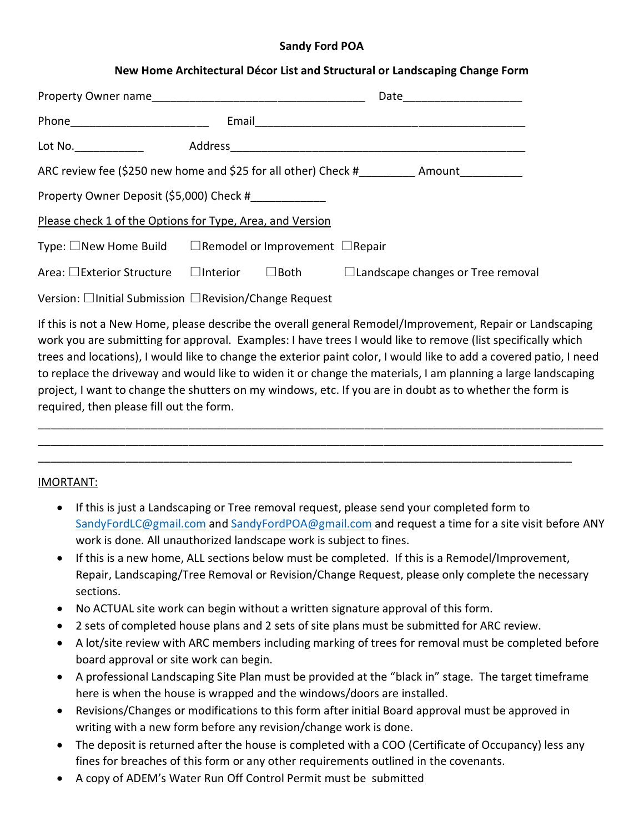## **Sandy Ford POA**

## **New Home Architectural Décor List and Structural or Landscaping Change Form**

| Phone___________________________                                        |             |                                                                                            |
|-------------------------------------------------------------------------|-------------|--------------------------------------------------------------------------------------------|
| Lot No._____________                                                    |             |                                                                                            |
|                                                                         |             | ARC review fee (\$250 new home and \$25 for all other) Check #____________ Amount_________ |
| Property Owner Deposit (\$5,000) Check #                                |             |                                                                                            |
| Please check 1 of the Options for Type, Area, and Version               |             |                                                                                            |
| Type: $\Box$ New Home Build $\Box$ Remodel or Improvement $\Box$ Repair |             |                                                                                            |
| Area: □Exterior Structure □Interior                                     | $\Box$ Both | □Landscape changes or Tree removal                                                         |
| Version: □Initial Submission □Revision/Change Request                   |             |                                                                                            |

If this is not a New Home, please describe the overall general Remodel/Improvement, Repair or Landscaping work you are submitting for approval. Examples: I have trees I would like to remove (list specifically which trees and locations), I would like to change the exterior paint color, I would like to add a covered patio, I need to replace the driveway and would like to widen it or change the materials, I am planning a large landscaping project, I want to change the shutters on my windows, etc. If you are in doubt as to whether the form is required, then please fill out the form.

\_\_\_\_\_\_\_\_\_\_\_\_\_\_\_\_\_\_\_\_\_\_\_\_\_\_\_\_\_\_\_\_\_\_\_\_\_\_\_\_\_\_\_\_\_\_\_\_\_\_\_\_\_\_\_\_\_\_\_\_\_\_\_\_\_\_\_\_\_\_\_\_\_\_\_\_\_\_\_\_\_\_\_\_\_\_\_\_\_\_ \_\_\_\_\_\_\_\_\_\_\_\_\_\_\_\_\_\_\_\_\_\_\_\_\_\_\_\_\_\_\_\_\_\_\_\_\_\_\_\_\_\_\_\_\_\_\_\_\_\_\_\_\_\_\_\_\_\_\_\_\_\_\_\_\_\_\_\_\_\_\_\_\_\_\_\_\_\_\_\_\_\_\_\_\_\_\_\_\_\_

\_\_\_\_\_\_\_\_\_\_\_\_\_\_\_\_\_\_\_\_\_\_\_\_\_\_\_\_\_\_\_\_\_\_\_\_\_\_\_\_\_\_\_\_\_\_\_\_\_\_\_\_\_\_\_\_\_\_\_\_\_\_\_\_\_\_\_\_\_\_\_\_\_\_\_\_\_\_\_\_\_\_\_\_\_

## IMORTANT:

- · If this is just a Landscaping or Tree removal request, please send your completed form to SandyFordLC@gmail.com and SandyFordPOA@gmail.com and request a time for a site visit before ANY work is done. All unauthorized landscape work is subject to fines.
- · If this is a new home, ALL sections below must be completed. If this is a Remodel/Improvement, Repair, Landscaping/Tree Removal or Revision/Change Request, please only complete the necessary sections.
- · No ACTUAL site work can begin without a written signature approval of this form.
- · 2 sets of completed house plans and 2 sets of site plans must be submitted for ARC review.
- · A lot/site review with ARC members including marking of trees for removal must be completed before board approval or site work can begin.
- · A professional Landscaping Site Plan must be provided at the "black in" stage. The target timeframe here is when the house is wrapped and the windows/doors are installed.
- · Revisions/Changes or modifications to this form after initial Board approval must be approved in writing with a new form before any revision/change work is done.
- The deposit is returned after the house is completed with a COO (Certificate of Occupancy) less any fines for breaches of this form or any other requirements outlined in the covenants.
- · A copy of ADEM's Water Run Off Control Permit must be submitted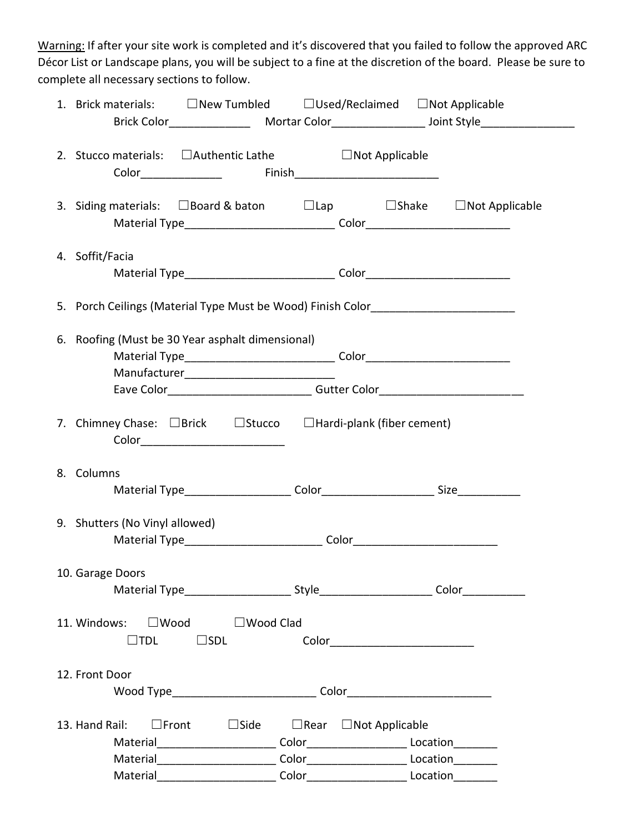Warning: If after your site work is completed and it's discovered that you failed to follow the approved ARC Décor List or Landscape plans, you will be subject to a fine at the discretion of the board. Please be sure to complete all necessary sections to follow.

|                                                                                       |                                                                 |  | 1. Brick materials: □ New Tumbled □ Used/Reclaimed □ Not Applicable |  |                                               |  |  |
|---------------------------------------------------------------------------------------|-----------------------------------------------------------------|--|---------------------------------------------------------------------|--|-----------------------------------------------|--|--|
|                                                                                       |                                                                 |  |                                                                     |  |                                               |  |  |
| 2. Stucco materials: □ Authentic Lathe □ Not Applicable                               | Color__________________    Finish______________________________ |  |                                                                     |  |                                               |  |  |
|                                                                                       |                                                                 |  |                                                                     |  |                                               |  |  |
| 3. Siding materials: $\Box$ Board & baton                                             |                                                                 |  |                                                                     |  | $\Box$ Lap $\Box$ Shake $\Box$ Not Applicable |  |  |
|                                                                                       |                                                                 |  |                                                                     |  |                                               |  |  |
| 4. Soffit/Facia                                                                       |                                                                 |  |                                                                     |  |                                               |  |  |
|                                                                                       |                                                                 |  |                                                                     |  |                                               |  |  |
| 5. Porch Ceilings (Material Type Must be Wood) Finish Color_____________________      |                                                                 |  |                                                                     |  |                                               |  |  |
| 6. Roofing (Must be 30 Year asphalt dimensional)                                      |                                                                 |  |                                                                     |  |                                               |  |  |
|                                                                                       |                                                                 |  |                                                                     |  |                                               |  |  |
|                                                                                       |                                                                 |  |                                                                     |  |                                               |  |  |
|                                                                                       |                                                                 |  |                                                                     |  |                                               |  |  |
| 7. Chimney Chase: □Brick □Stucco □Hardi-plank (fiber cement)                          | Color________________________________                           |  |                                                                     |  |                                               |  |  |
| 8. Columns                                                                            |                                                                 |  |                                                                     |  |                                               |  |  |
|                                                                                       |                                                                 |  |                                                                     |  |                                               |  |  |
| 9. Shutters (No Vinyl allowed)                                                        |                                                                 |  |                                                                     |  |                                               |  |  |
| Material Type__________________________________ Color___________________________      |                                                                 |  |                                                                     |  |                                               |  |  |
| 10. Garage Doors                                                                      |                                                                 |  |                                                                     |  |                                               |  |  |
|                                                                                       |                                                                 |  |                                                                     |  |                                               |  |  |
| 11. Windows: □Wood □Wood Clad                                                         | $\square$ TDL $\square$ SDL                                     |  | Color_____________________________                                  |  |                                               |  |  |
| 12. Front Door                                                                        |                                                                 |  |                                                                     |  |                                               |  |  |
|                                                                                       |                                                                 |  |                                                                     |  |                                               |  |  |
| 13. Hand Rail: $\square$ Front $\square$ Side $\square$ Rear $\square$ Not Applicable |                                                                 |  |                                                                     |  |                                               |  |  |
|                                                                                       |                                                                 |  |                                                                     |  |                                               |  |  |
|                                                                                       |                                                                 |  |                                                                     |  |                                               |  |  |
|                                                                                       |                                                                 |  |                                                                     |  |                                               |  |  |